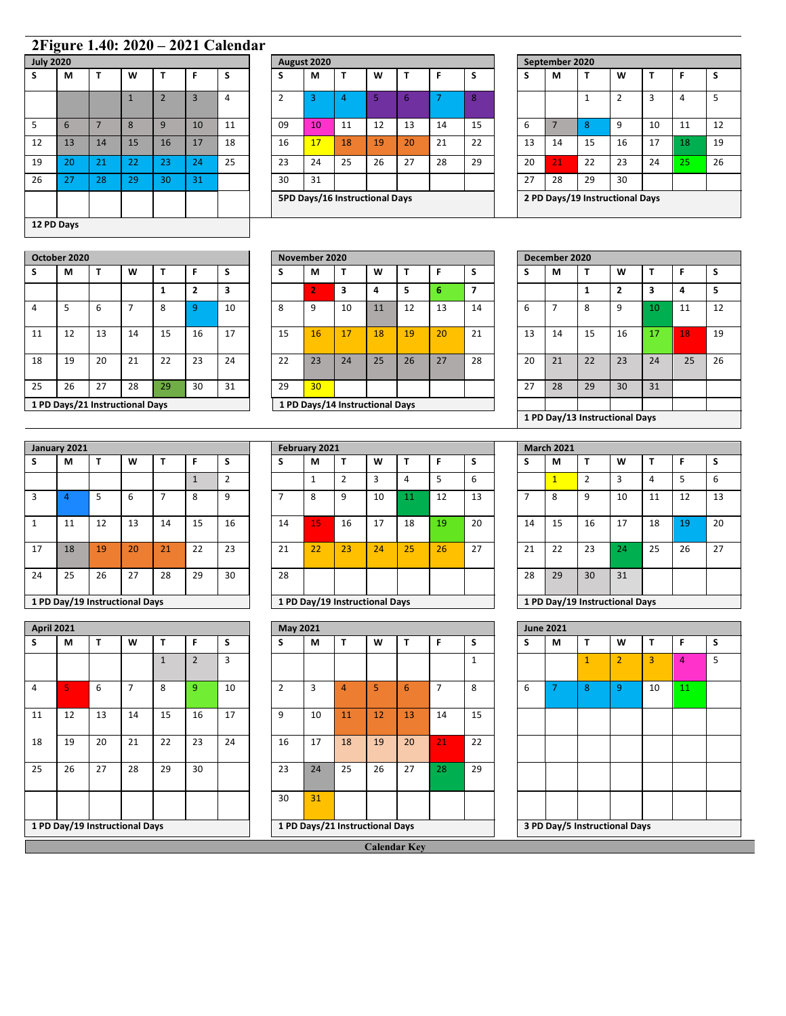## **2Figure 1.40: 2020 – 2021 Calendar**

| <b>July 2020</b> |    |                |              |                |                |    |
|------------------|----|----------------|--------------|----------------|----------------|----|
| S                | M  | T              | W            | Т              | F              | S  |
|                  |    |                | $\mathbf{1}$ | $\overline{2}$ | $\overline{3}$ | 4  |
| 5                | 6  | $\overline{7}$ | 8            | 9              | 10             | 11 |
| 12               | 13 | 14             | 15           | 16             | 17             | 18 |
| 19               | 20 | 21             | 22           | 23             | 24             | 25 |
| 26               | 27 | 28             | 29           | 30             | 31             |    |
|                  |    |                |              |                |                |    |
| 12 PD Days       |    |                |              |                |                |    |

| <b>July 2020</b> |          |    |                |    |    |              |    |    |             |    |                                |    |    |    |    |                |    |                                 |    |
|------------------|----------|----|----------------|----|----|--------------|----|----|-------------|----|--------------------------------|----|----|----|----|----------------|----|---------------------------------|----|
| М                |          | W  |                | F. | S  | э            | М  |    | W           |    |                                | s  | S  | М  | т  | W              |    | F                               | -S |
|                  |          |    | $\overline{2}$ | 3  | 4  | <sup>2</sup> | 3  | 4  |             | 6  |                                | 8  |    |    |    | $\overline{2}$ | 3  | 4                               | 5  |
| 6                |          | 8  | 9              | 10 | 11 | 09           | 10 | 11 | 12          | 13 | 14                             | 15 | 6  |    | 8  | 9              | 10 | 11                              | 12 |
| 13               | 14       | 15 | 16             | 17 | 18 | 16           | 17 | 18 | 19          | 20 | 21                             | 22 | 13 | 14 | 15 | 16             | 17 | 18                              | 19 |
| 20               | 21       | 22 | 23             | 24 | 25 | 23           | 24 | 25 | 26          | 27 | 28                             | 29 | 20 | 21 | 22 | 23             | 24 | 25                              | 26 |
| 27               | 28       | 29 | 30             | 31 |    | 30           | 31 |    |             |    |                                |    | 27 | 28 | 29 | 30             |    |                                 |    |
|                  |          |    |                |    |    |              |    |    |             |    |                                |    |    |    |    |                |    |                                 |    |
|                  | $\cdots$ |    |                |    |    |              |    |    | August 2020 |    | 5PD Days/16 Instructional Days |    |    |    |    | September 2020 |    | 2 PD Days/19 Instructional Days |    |

|    | September 2020 |    |                                 |    |    |    |
|----|----------------|----|---------------------------------|----|----|----|
| S  | М              |    | W                               | т  | F  | S  |
|    |                | 1  | $\overline{2}$                  | 3  | 4  | 5  |
| 6  | 7              | 8  | 9                               | 10 | 11 | 12 |
| 13 | 14             | 15 | 16                              | 17 | 18 | 19 |
| 20 | 21             | 22 | 23                              | 24 | 25 | 26 |
| 27 | 28             | 29 | 30                              |    |    |    |
|    |                |    | 2 PD Days/19 Instructional Days |    |    |    |

|    | October 2020 |                                 |    |    |    |    |    | November 2020   |                                 |    |    |    |                |        | December 2020 |    |                  |    |    |  |
|----|--------------|---------------------------------|----|----|----|----|----|-----------------|---------------------------------|----|----|----|----------------|--------|---------------|----|------------------|----|----|--|
|    | М            |                                 | W  |    |    | S  | S  | M               |                                 | W  |    |    | э              | c<br>ь | М             |    | W                |    |    |  |
|    |              |                                 |    |    | 2  | 3  |    |                 | $\overline{\mathbf{3}}$         | 4  | ۰, | n  | $\overline{7}$ |        |               |    | $\mathbf{\cdot}$ | 3  | 4  |  |
| 4  | 5            | 6                               |    | 8  | q  | 10 | 8  | 9               | 10                              | 11 | 12 | 13 | 14             | 6      |               | 8  | 9                | 10 | 11 |  |
| 11 | 12           | 13                              | 14 | 15 | 16 | 17 | 15 | 16              | 17                              | 18 | 19 | 20 | 21             | 13     | 14            | 15 | 16               | 17 | 18 |  |
| 18 | 19           | 20                              | 21 | 22 | 23 | 24 | 22 | 23              | 24                              | 25 | 26 | 27 | 28             | 20     | 21            | 22 | 23               | 24 | 25 |  |
| 25 | 26           | 27                              | 28 | 29 | 30 | 31 | 29 | 30 <sup>°</sup> |                                 |    |    |    |                | 27     | 28            | 29 | 30               | 31 |    |  |
|    |              | 1 PD Days/21 Instructional Days |    |    |    |    |    |                 | 1 PD Days/14 Instructional Days |    |    |    |                |        |               |    |                  |    |    |  |

|    |    |                                 |    |    |    |    |    |                 |                                 |    |    |    | . . |    |    |                                |    |    |              |    |
|----|----|---------------------------------|----|----|----|----|----|-----------------|---------------------------------|----|----|----|-----|----|----|--------------------------------|----|----|--------------|----|
|    |    | ь                               | -  | 8  |    | 10 | 8  | 9               | 10                              | 11 | 12 | 13 | 14  | ь  |    | 8                              | 9  |    | 11           | 12 |
| 11 | 12 | 13                              | 14 | 15 | 16 | 17 | 15 | 16              | 17                              | 18 | 19 | 20 | 21  | 13 | 14 | 15                             | 16 | 17 | $ 18\rangle$ | 19 |
| 18 | 19 | 20                              | 21 | 22 | 23 | 24 | 22 | 23              | 24                              | 25 | 26 | 27 | 28  | 20 | 21 | 22                             | 23 | 24 | 25           | 26 |
| 25 | 26 | 27                              | 28 | 29 | 30 | 31 | 29 | 30 <sup>°</sup> |                                 |    |    |    |     | 27 | 28 | 29                             | 30 | 31 |              |    |
|    |    | 1 PD Days/21 Instructional Days |    |    |    |    |    |                 | 1 PD Days/14 Instructional Days |    |    |    |     |    |    |                                |    |    |              |    |
|    |    |                                 |    |    |    |    |    |                 |                                 |    |    |    |     |    |    | 1 PD Day/13 Instructional Days |    |    |              |    |

|    |    |                         |    | November 2020   |                                 |    |    |    |    |    | December 2020 |    |                                |    |    |    |
|----|----|-------------------------|----|-----------------|---------------------------------|----|----|----|----|----|---------------|----|--------------------------------|----|----|----|
|    | F  | S                       | S  | М               |                                 | W  | т  |    | S  | S  | М             |    | W                              |    | F  | S  |
| 1  | 2  | $\overline{\mathbf{3}}$ |    | $\overline{2}$  | 3                               | 4  | 5  | 6  | 7  |    |               |    | 2                              | 3  | 4  | 5  |
| 8  | 9  | 10                      | 8  | 9               | 10                              | 11 | 12 | 13 | 14 | 6  |               | 8  | 9                              | 10 | 11 | 12 |
| 15 | 16 | 17                      | 15 | 16              | 17                              | 18 | 19 | 20 | 21 | 13 | 14            | 15 | 16                             | 17 | 18 | 19 |
| 22 | 23 | 24                      | 22 | 23              | 24                              | 25 | 26 | 27 | 28 | 20 | 21            | 22 | 23                             | 24 | 25 | 26 |
| 29 | 30 | 31                      | 29 | 30 <sup>2</sup> |                                 |    |    |    |    | 27 | 28            | 29 | 30                             | 31 |    |    |
| /S |    |                         |    |                 | 1 PD Days/14 Instructional Days |    |    |    |    |    |               |    |                                |    |    |    |
|    |    |                         |    |                 |                                 |    |    |    |    |    |               |    | 1 PD Day/13 Instructional Days |    |    |    |

|              | January 2021                   |    |    |    |    |                |
|--------------|--------------------------------|----|----|----|----|----------------|
| S            | м                              | т  | W  | т  | F  | S              |
|              |                                |    |    |    | 1  | $\overline{2}$ |
| 3            | 4                              | 5  | 6  |    | 8  | 9              |
| $\mathbf{1}$ | 11                             | 12 | 13 | 14 | 15 | 16             |
| 17           | 18                             | 19 | 20 | 21 | 22 | 23             |
| 24           | 25                             | 26 | 27 | 28 | 29 | 30             |
|              | 1 PD Day/19 Instructional Days |    |    |    |    |                |

|                   | 11 | 12 | 13                             | 14       | 15             | 16 | 14       | \15' | 16                             | 17 | 18 | 19 | 20 | 14               | 15 | 16 | 17                             | 18 | 19             | 20 |
|-------------------|----|----|--------------------------------|----------|----------------|----|----------|------|--------------------------------|----|----|----|----|------------------|----|----|--------------------------------|----|----------------|----|
| 17                | 18 | 19 | 20                             | 21       | 22             | 23 | 21       | 22   | 23                             | 24 | 25 | 26 | 27 | 21               | 22 | 23 | 24                             | 25 | 26             | 27 |
| 24                | 25 | 26 | 27                             | 28       | 29             | 30 | 28       |      |                                |    |    |    |    | 28               | 29 | 30 | 31                             |    |                |    |
|                   |    |    |                                |          |                |    |          |      |                                |    |    |    |    |                  |    |    |                                |    |                |    |
|                   |    |    | 1 PD Day/19 Instructional Days |          |                |    |          |      | 1 PD Day/19 Instructional Days |    |    |    |    |                  |    |    | 1 PD Day/19 Instructional Days |    |                |    |
|                   |    |    |                                |          |                |    | May 2021 |      |                                |    |    |    |    | <b>June 2021</b> |    |    |                                |    |                |    |
| <b>April 2021</b> | М  |    | W                              | <b>T</b> | F              | S  |          | М    | T                              | W  | т  | F  | S  | s                | М  | т  | W                              |    | F              | S  |
|                   |    |    |                                |          | $\overline{2}$ | 3  |          |      |                                |    |    |    |    |                  |    |    | h                              | 3  | $\overline{4}$ | 5  |

|    | January 2021 |                                |    |                          |    |    |    | February 2021 |                                |    |     |    |    |    | <b>March 2021</b> |                |                                |    |    |     |
|----|--------------|--------------------------------|----|--------------------------|----|----|----|---------------|--------------------------------|----|-----|----|----|----|-------------------|----------------|--------------------------------|----|----|-----|
|    | М            |                                | W  |                          | F  | S  |    | М             | T                              | W  |     | F. | s  | s  | M                 |                | W                              |    |    | -S  |
|    |              |                                |    |                          |    | ∠  |    |               |                                |    | 4   | 5  | 6  |    |                   | $\overline{2}$ | 3                              | 4  | 5  | - 6 |
|    |              | -5                             | 6  | $\overline{\phantom{a}}$ | 8  | 9  |    | 8             | 9                              | 10 | 111 | 12 | 13 | ⇁  | 8                 | 9              | 10                             | 11 | 12 | 13  |
|    | 11           | 12                             | 13 | 14                       | 15 | 16 | 14 | 15            | 16                             | 17 | 18  | 19 | 20 | 14 | 15                | 16             | 17                             | 18 | 19 | 20  |
| 17 | 18           | 19                             | 20 | 21                       | 22 | 23 | 21 | 22            | 23                             | 24 | 25  | 26 | 27 | 21 | 22                | 23             | 24                             | 25 | 26 | 27  |
| 24 | 25           | 26                             | 27 | 28                       | 29 | 30 | 28 |               |                                |    |     |    |    | 28 | 29                | 30             | 31                             |    |    |     |
|    |              | 1 PD Day/19 Instructional Days |    |                          |    |    |    |               | 1 PD Day/19 Instructional Davs |    |     |    |    |    |                   |                | 1 PD Day/19 Instructional Days |    |    |     |

| <b>April 2021</b> |                                |    |                |              |                |    | May 2021       |    |                                 |    |    |                |    |   | <b>June 2021</b> |              |                               |              |    |   |
|-------------------|--------------------------------|----|----------------|--------------|----------------|----|----------------|----|---------------------------------|----|----|----------------|----|---|------------------|--------------|-------------------------------|--------------|----|---|
|                   | M                              | т  | W              | T            | F              | S  | S              | М  | T                               | W  | T  | F              | S  | S | M                | $\mathbf{T}$ | W                             | $\mathsf{T}$ | F  | S |
|                   |                                |    |                | $\mathbf{1}$ | $\overline{2}$ | 3  |                |    |                                 |    |    |                |    |   |                  | 1            | 2 <sup>1</sup>                | 3            | 4  | 5 |
| 4                 | 5                              | 6  | $\overline{7}$ | 8            | 9              | 10 | $\overline{2}$ | 3  | $\overline{4}$                  | 5  | 6  | $\overline{7}$ | 8  | 6 | ⇁                | 8            | 9                             | 10           | 11 |   |
| 11                | 12                             | 13 | 14             | 15           | 16             | 17 | 9              | 10 | 11                              | 12 | 13 | 14             | 15 |   |                  |              |                               |              |    |   |
| 18                | 19                             | 20 | 21             | 22           | 23             | 24 | 16             | 17 | 18                              | 19 | 20 | 21             | 22 |   |                  |              |                               |              |    |   |
| 25                | 26                             | 27 | 28             | 29           | 30             |    | 23             | 24 | 25                              | 26 | 27 | 28             | 29 |   |                  |              |                               |              |    |   |
|                   |                                |    |                |              |                |    | 30             | 31 |                                 |    |    |                |    |   |                  |              |                               |              |    |   |
|                   | 1 PD Day/19 Instructional Days |    |                |              |                |    |                |    | 1 PD Days/21 Instructional Days |    |    |                |    |   |                  |              | 3 PD Day/5 Instructional Days |              |    |   |

| S  | M              |                | W                              | т  | F  | S  |
|----|----------------|----------------|--------------------------------|----|----|----|
|    | $\overline{1}$ | $\overline{2}$ | 3                              | 4  | 5  | 6  |
|    | 8              | 9              | 10                             | 11 | 12 | 13 |
| 14 | 15             | 16             | 17                             | 18 | 19 | 20 |
| 21 | 22             | 23             | 24                             | 25 | 26 | 27 |
| 28 | 29             | 30             | 31                             |    |    |    |
|    |                |                | 1 PD Day/19 Instructional Days |    |    |    |

|   | <b>June 2021</b>              |              |                |    |    |   |
|---|-------------------------------|--------------|----------------|----|----|---|
| S | M                             | Т            | W              | T  | F  | S |
|   |                               | $\mathbf{1}$ | $\overline{2}$ | 3  | 4  | 5 |
| 6 | 7                             | 8            | 9              | 10 | 11 |   |
|   |                               |              |                |    |    |   |
|   |                               |              |                |    |    |   |
|   |                               |              |                |    |    |   |
|   |                               |              |                |    |    |   |
|   | 3 PD Day/5 Instructional Days |              |                |    |    |   |

|  | <b>Calendar Key</b> |
|--|---------------------|
|  |                     |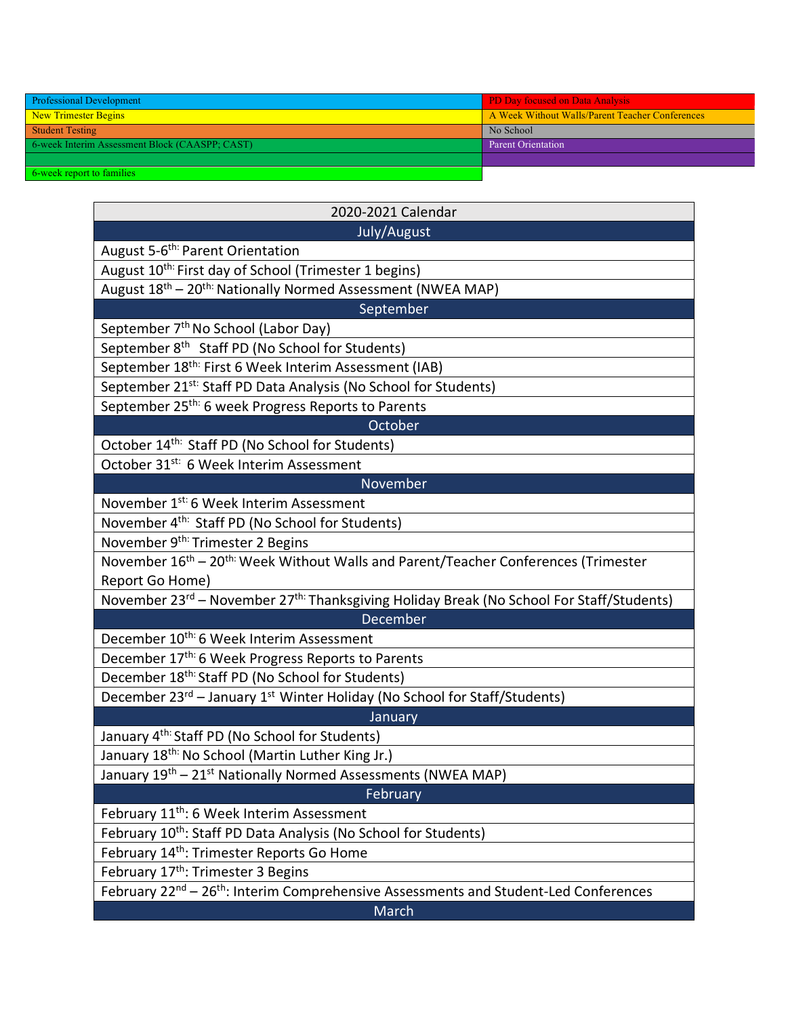| <b>Professional Development</b>                                                 | <b>PD Day focused on Data Analysis</b>          |
|---------------------------------------------------------------------------------|-------------------------------------------------|
| New Trimester Begins                                                            | A Week Without Walls/Parent Teacher Conferences |
| <b>Student Testing</b>                                                          | No School                                       |
| 6-week Interim Assessment Block (CAASPP; CAST)                                  | Parent Orientation                              |
|                                                                                 |                                                 |
| the contract of the contract of the contract of the contract of the contract of |                                                 |

k report to famil

| 2020-2021 Calendar                                                                                               |  |  |  |
|------------------------------------------------------------------------------------------------------------------|--|--|--|
| July/August                                                                                                      |  |  |  |
| August 5-6 <sup>th:</sup> Parent Orientation                                                                     |  |  |  |
| August 10 <sup>th:</sup> First day of School (Trimester 1 begins)                                                |  |  |  |
| August 18th - 20th: Nationally Normed Assessment (NWEA MAP)                                                      |  |  |  |
| September                                                                                                        |  |  |  |
| September 7 <sup>th</sup> No School (Labor Day)                                                                  |  |  |  |
| September 8 <sup>th</sup> Staff PD (No School for Students)                                                      |  |  |  |
| September 18 <sup>th:</sup> First 6 Week Interim Assessment (IAB)                                                |  |  |  |
| September 21 <sup>st:</sup> Staff PD Data Analysis (No School for Students)                                      |  |  |  |
| September 25 <sup>th:</sup> 6 week Progress Reports to Parents                                                   |  |  |  |
| October                                                                                                          |  |  |  |
| October 14 <sup>th:</sup> Staff PD (No School for Students)                                                      |  |  |  |
| October 31 <sup>st:</sup> 6 Week Interim Assessment                                                              |  |  |  |
| November                                                                                                         |  |  |  |
| November 1 <sup>st:</sup> 6 Week Interim Assessment                                                              |  |  |  |
| November 4 <sup>th:</sup> Staff PD (No School for Students)                                                      |  |  |  |
| November 9 <sup>th:</sup> Trimester 2 Begins                                                                     |  |  |  |
| November 16 <sup>th</sup> – 20 <sup>th:</sup> Week Without Walls and Parent/Teacher Conferences (Trimester       |  |  |  |
| Report Go Home)                                                                                                  |  |  |  |
| November 23 <sup>rd</sup> – November 27 <sup>th:</sup> Thanksgiving Holiday Break (No School For Staff/Students) |  |  |  |
| December                                                                                                         |  |  |  |
| December 10 <sup>th:</sup> 6 Week Interim Assessment                                                             |  |  |  |
| December 17 <sup>th:</sup> 6 Week Progress Reports to Parents                                                    |  |  |  |
| December 18 <sup>th:</sup> Staff PD (No School for Students)                                                     |  |  |  |
| December 23 <sup>rd</sup> – January 1 <sup>st</sup> Winter Holiday (No School for Staff/Students)                |  |  |  |
| January                                                                                                          |  |  |  |
| January 4 <sup>th:</sup> Staff PD (No School for Students)                                                       |  |  |  |
| January 18 <sup>th:</sup> No School (Martin Luther King Jr.)                                                     |  |  |  |
| January 19 <sup>th</sup> - 21 <sup>st</sup> Nationally Normed Assessments (NWEA MAP)                             |  |  |  |
| February                                                                                                         |  |  |  |
| February 11 <sup>th</sup> : 6 Week Interim Assessment                                                            |  |  |  |
| February 10th: Staff PD Data Analysis (No School for Students)                                                   |  |  |  |
| February 14 <sup>th</sup> : Trimester Reports Go Home                                                            |  |  |  |
| February 17 <sup>th</sup> : Trimester 3 Begins                                                                   |  |  |  |
| February 22 <sup>nd</sup> – 26 <sup>th</sup> : Interim Comprehensive Assessments and Student-Led Conferences     |  |  |  |
| March                                                                                                            |  |  |  |